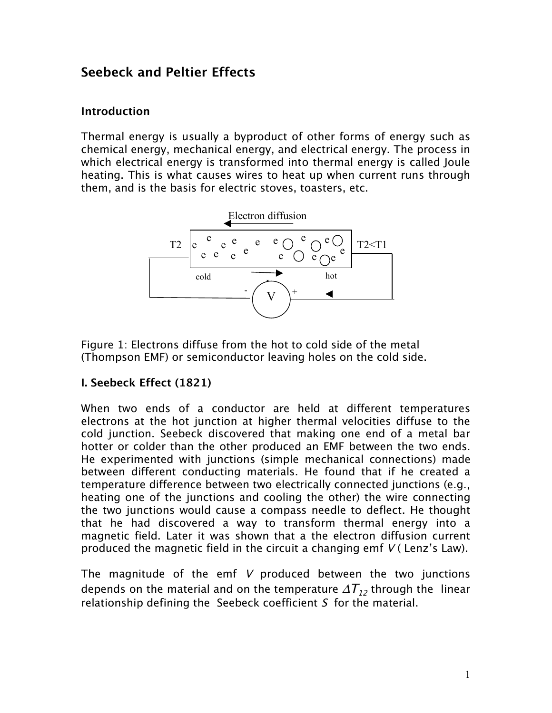# **Seebeck and Peltier Effects**

# **Introduction**

Thermal energy is usually a byproduct of other forms of energy such as chemical energy, mechanical energy, and electrical energy. The process in which electrical energy is transformed into thermal energy is called Joule heating. This is what causes wires to heat up when current runs through them, and is the basis for electric stoves, toasters, etc.



Figure 1: Electrons diffuse from the hot to cold side of the metal (Thompson EMF) or semiconductor leaving holes on the cold side.

# **I. Seebeck Effect (1821)**

When two ends of a conductor are held at different temperatures electrons at the hot junction at higher thermal velocities diffuse to the cold junction. Seebeck discovered that making one end of a metal bar hotter or colder than the other produced an EMF between the two ends. He experimented with junctions (simple mechanical connections) made between different conducting materials. He found that if he created a temperature difference between two electrically connected junctions (e.g., heating one of the junctions and cooling the other) the wire connecting the two junctions would cause a compass needle to deflect. He thought that he had discovered a way to transform thermal energy into a magnetic field. Later it was shown that a the electron diffusion current produced the magnetic field in the circuit a changing emf  $V$  (Lenz's Law).

The magnitude of the emf V produced between the two junctions depends on the material and on the temperature  $\Delta T_{12}$  through the linear relationship defining the Seebeck coefficient S for the material.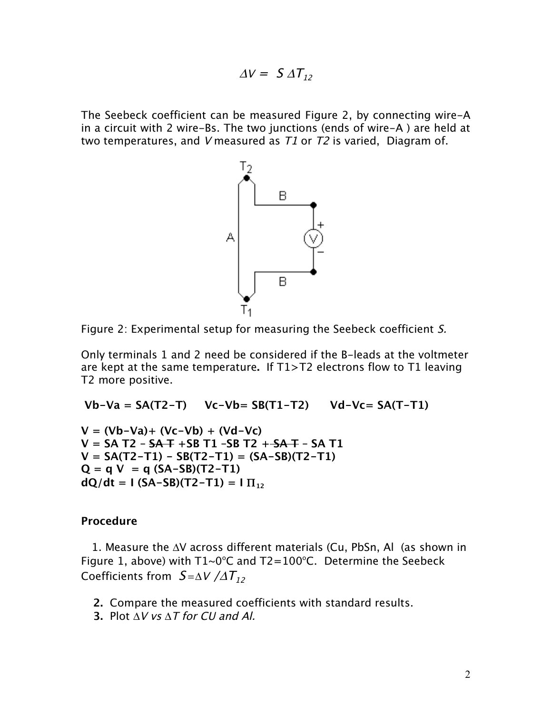$$
\Delta V = S \Delta T_{12}
$$

The Seebeck coefficient can be measured Figure 2, by connecting wire-A in a circuit with 2 wire-Bs. The two junctions (ends of wire-A ) are held at two temperatures, and V measured as  $T1$  or  $T2$  is varied, Diagram of.



Figure 2: Experimental setup for measuring the Seebeck coefficient S.

Only terminals 1 and 2 need be considered if the B-leads at the voltmeter are kept at the same temperature**.** If T1>T2 electrons flow to T1 leaving T2 more positive.

**Vb-Va = SA(T2-T) Vc-Vb= SB(T1-T2) Vd-Vc= SA(T-T1)**

**V = (Vb-Va)+ (Vc-Vb) + (Vd-Vc) V = SA T2 – SA T +SB T1 –SB T2 + SA T – SA T1 V = SA(T2-T1) - SB(T2-T1) = (SA-SB)(T2-T1)**  $Q = q V = q (SA-SB)(T2-T1)$  $dQ/dt = 1$  (SA-SB)(T2-T1) =  $I$   $\Pi_{12}$ 

# **Procedure**

1. Measure the ΔV across different materials (Cu, PbSn, Al (as shown in Figure 1, above) with  $T1~0°C$  and  $T2=100°C$ . Determine the Seebeck Coefficients from  $S = \Delta V / \Delta T_{12}$ 

- **2.** Compare the measured coefficients with standard results.
- **3.** Plot Δ<sup>V</sup> vs Δ<sup>T</sup> for CU and Al.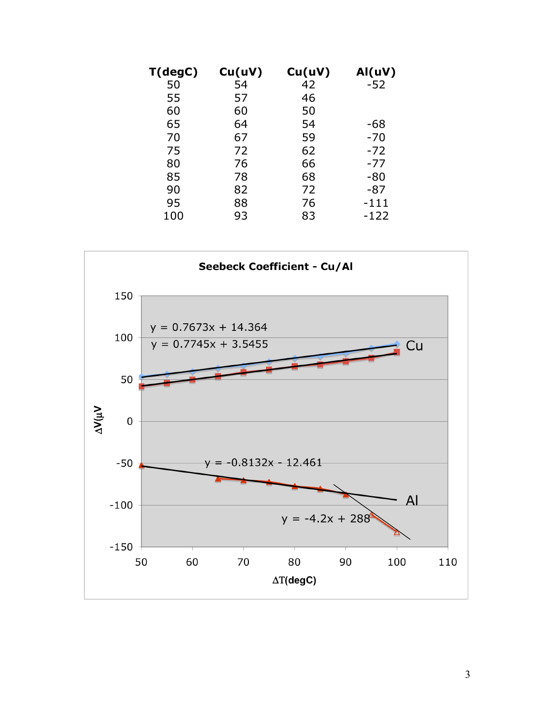| T(degC) | Cu(uV) | Cu(uV) | AI(uV) |
|---------|--------|--------|--------|
| 50      | 54     | 42     | $-52$  |
| 55      | 57     | 46     |        |
| 60      | 60     | 50     |        |
| 65      | 64     | 54     | -68    |
| 70      | 67     | 59     | $-70$  |
| 75      | 72     | 62     | $-72$  |
| 80      | 76     | 66     | -77    |
| 85      | 78     | 68     | -80    |
| 90      | 82     | 72     | -87    |
| 95      | 88     | 76     | -111   |
| 100     | 93     | 83     | -122   |

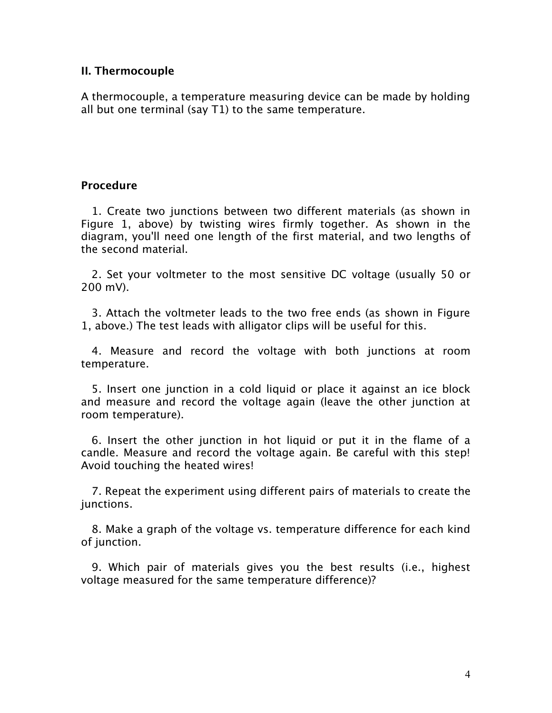# **II. Thermocouple**

A thermocouple, a temperature measuring device can be made by holding all but one terminal (say T1) to the same temperature.

# **Procedure**

1. Create two junctions between two different materials (as shown in Figure 1, above) by twisting wires firmly together. As shown in the diagram, you'll need one length of the first material, and two lengths of the second material.

2. Set your voltmeter to the most sensitive DC voltage (usually 50 or 200 mV).

3. Attach the voltmeter leads to the two free ends (as shown in Figure 1, above.) The test leads with alligator clips will be useful for this.

4. Measure and record the voltage with both junctions at room temperature.

5. Insert one junction in a cold liquid or place it against an ice block and measure and record the voltage again (leave the other junction at room temperature).

6. Insert the other junction in hot liquid or put it in the flame of a candle. Measure and record the voltage again. Be careful with this step! Avoid touching the heated wires!

7. Repeat the experiment using different pairs of materials to create the junctions.

8. Make a graph of the voltage vs. temperature difference for each kind of junction.

9. Which pair of materials gives you the best results (i.e., highest voltage measured for the same temperature difference)?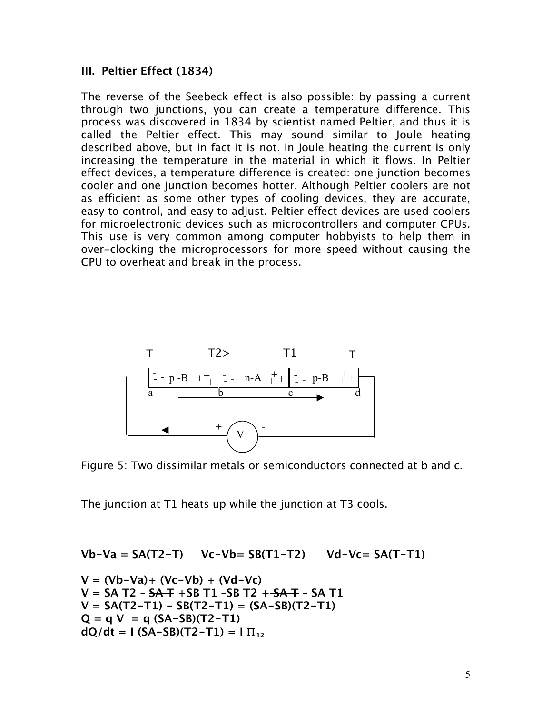# **III. Peltier Effect (1834)**

The reverse of the Seebeck effect is also possible: by passing a current through two junctions, you can create a temperature difference. This process was discovered in 1834 by scientist named Peltier, and thus it is called the Peltier effect. This may sound similar to Joule heating described above, but in fact it is not. In Joule heating the current is only increasing the temperature in the material in which it flows. In Peltier effect devices, a temperature difference is created: one junction becomes cooler and one junction becomes hotter. Although Peltier coolers are not as efficient as some other types of cooling devices, they are accurate, easy to control, and easy to adjust. Peltier effect devices are used coolers for microelectronic devices such as microcontrollers and computer CPUs. This use is very common among computer hobbyists to help them in over-clocking the microprocessors for more speed without causing the CPU to overheat and break in the process.



Figure 5: Two dissimilar metals or semiconductors connected at b and c.

The junction at T1 heats up while the junction at T3 cools.

**Vb-Va = SA(T2-T) Vc-Vb= SB(T1-T2) Vd-Vc= SA(T-T1)**

$$
V = (Vb-Va) + (Vc-Vb) + (Vd-Vc)
$$
  
\n
$$
V = SA T2 - SA + SB T1 - SB T2 + SA + SS T1
$$
  
\n
$$
V = SA(T2-T1) - SB(T2-T1) = (SA-SB)(T2-T1)
$$
  
\n
$$
Q = q V = q (SA-SB)(T2-T1)
$$
  
\n
$$
dQ/dt = I (SA-SB)(T2-T1) = I T_{12}
$$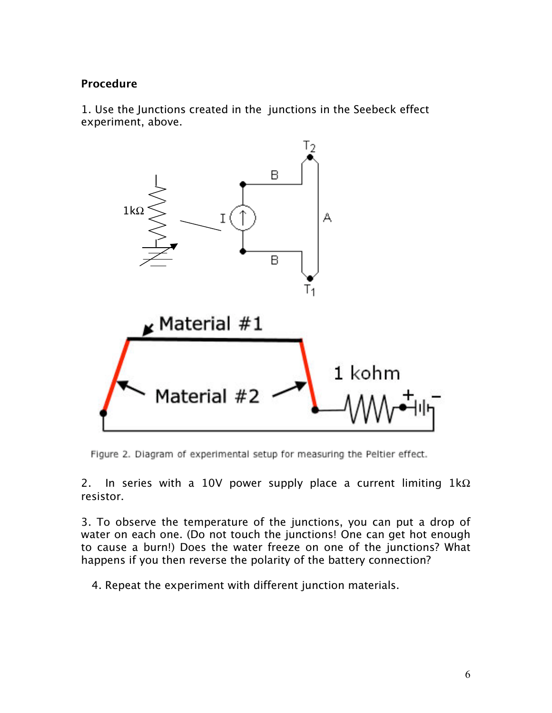# **Procedure**

1. Use the Junctions created in the junctions in the Seebeck effect experiment, above.



Figure 2. Diagram of experimental setup for measuring the Peltier effect.

2. In series with a 10V power supply place a current limiting  $1k\Omega$ resistor.

3. To observe the temperature of the junctions, you can put a drop of water on each one. (Do not touch the junctions! One can get hot enough to cause a burn!) Does the water freeze on one of the junctions? What happens if you then reverse the polarity of the battery connection?

4. Repeat the experiment with different junction materials.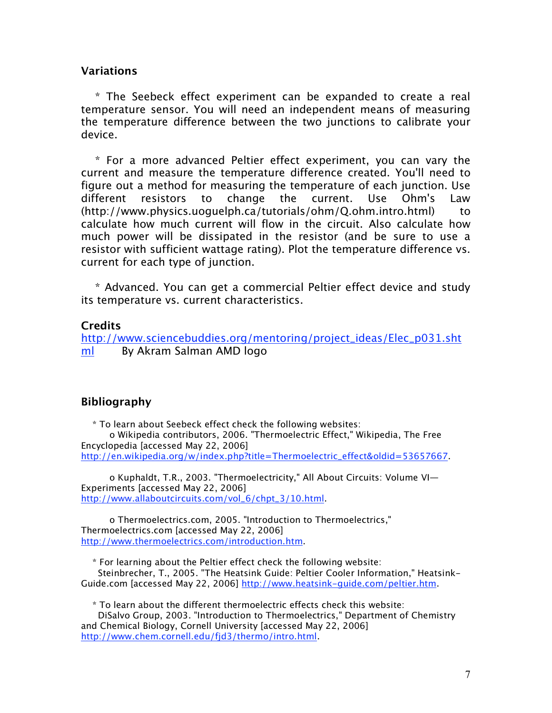#### **Variations**

\* The Seebeck effect experiment can be expanded to create a real temperature sensor. You will need an independent means of measuring the temperature difference between the two junctions to calibrate your device.

\* For a more advanced Peltier effect experiment, you can vary the current and measure the temperature difference created. You'll need to figure out a method for measuring the temperature of each junction. Use different resistors to change the current. Use Ohm's Law (http://www.physics.uoguelph.ca/tutorials/ohm/Q.ohm.intro.html) to calculate how much current will flow in the circuit. Also calculate how much power will be dissipated in the resistor (and be sure to use a resistor with sufficient wattage rating). Plot the temperature difference vs. current for each type of junction.

\* Advanced. You can get a commercial Peltier effect device and study its temperature vs. current characteristics.

# **Credits**

http://www.sciencebuddies.org/mentoring/project\_ideas/Elec\_p031.sht ml By Akram Salman AMD logo

# **Bibliography**

\* To learn about Seebeck effect check the following websites: o Wikipedia contributors, 2006. "Thermoelectric Effect," Wikipedia, The Free Encyclopedia [accessed May 22, 2006] http://en.wikipedia.org/w/index.php?title=Thermoelectric\_effect&oldid=53657667.

o Kuphaldt, T.R., 2003. "Thermoelectricity," All About Circuits: Volume VI— Experiments [accessed May 22, 2006] http://www.allaboutcircuits.com/vol\_6/chpt\_3/10.html.

o Thermoelectrics.com, 2005. "Introduction to Thermoelectrics," Thermoelectrics.com [accessed May 22, 2006] http://www.thermoelectrics.com/introduction.htm.

\* For learning about the Peltier effect check the following website: Steinbrecher, T., 2005. "The Heatsink Guide: Peltier Cooler Information," Heatsink-Guide.com [accessed May 22, 2006] http://www.heatsink-guide.com/peltier.htm.

\* To learn about the different thermoelectric effects check this website:

DiSalvo Group, 2003. "Introduction to Thermoelectrics," Department of Chemistry and Chemical Biology, Cornell University [accessed May 22, 2006] http://www.chem.cornell.edu/fjd3/thermo/intro.html.